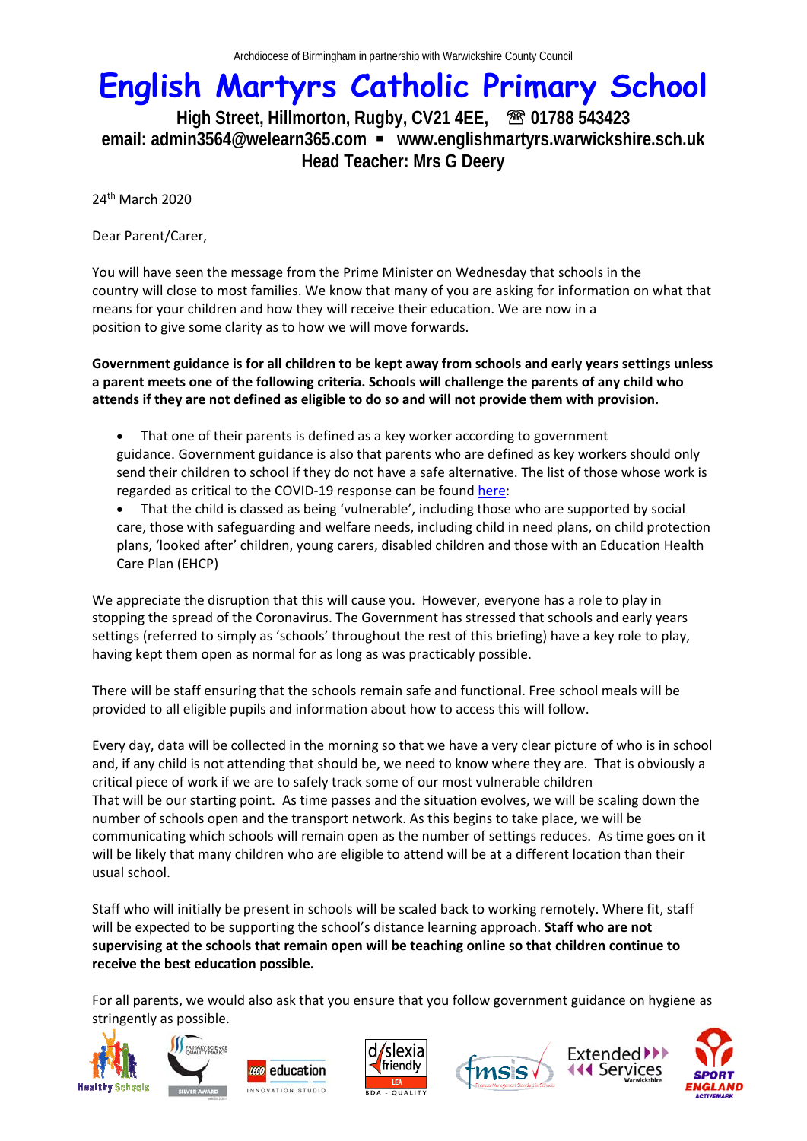## **English Martyrs Catholic Primary School**

High Street, Hillmorton, Rugby, CV21 4EE, <sup>3</sup> 01788 543423 **email: admin3564@welearn365.com www.englishmartyrs.warwickshire.sch.uk Head Teacher: Mrs G Deery** 

24th March 2020

Dear Parent/Carer,

You will have seen the message from the Prime Minister on Wednesday that schools in the country will close to most families. We know that many of you are asking for information on what that means for your children and how they will receive their education. We are now in a position to give some clarity as to how we will move forwards.

**Government guidance is for all children to be kept away from schools and early years settings unless a parent meets one of the following criteria. Schools will challenge the parents of any child who attends if they are not defined as eligible to do so and will not provide them with provision.**

- That one of their parents is defined as a key worker according to government guidance. Government guidance is also that parents who are defined as key workers should only send their children to school if they do not have a safe alternative. The list of those whose work is regarded as critical to the COVID-19 response can be found here:
- That the child is classed as being 'vulnerable', including those who are supported by social care, those with safeguarding and welfare needs, including child in need plans, on child protection plans, 'looked after' children, young carers, disabled children and those with an Education Health Care Plan (EHCP)

We appreciate the disruption that this will cause you. However, everyone has a role to play in stopping the spread of the Coronavirus. The Government has stressed that schools and early years settings (referred to simply as 'schools' throughout the rest of this briefing) have a key role to play, having kept them open as normal for as long as was practicably possible.

There will be staff ensuring that the schools remain safe and functional. Free school meals will be provided to all eligible pupils and information about how to access this will follow.

Every day, data will be collected in the morning so that we have a very clear picture of who is in school and, if any child is not attending that should be, we need to know where they are. That is obviously a critical piece of work if we are to safely track some of our most vulnerable children That will be our starting point. As time passes and the situation evolves, we will be scaling down the number of schools open and the transport network. As this begins to take place, we will be communicating which schools will remain open as the number of settings reduces. As time goes on it will be likely that many children who are eligible to attend will be at a different location than their usual school.

Staff who will initially be present in schools will be scaled back to working remotely. Where fit, staff will be expected to be supporting the school's distance learning approach. **Staff who are not supervising at the schools that remain open will be teaching online so that children continue to receive the best education possible.**

For all parents, we would also ask that you ensure that you follow government guidance on hygiene as stringently as possible.